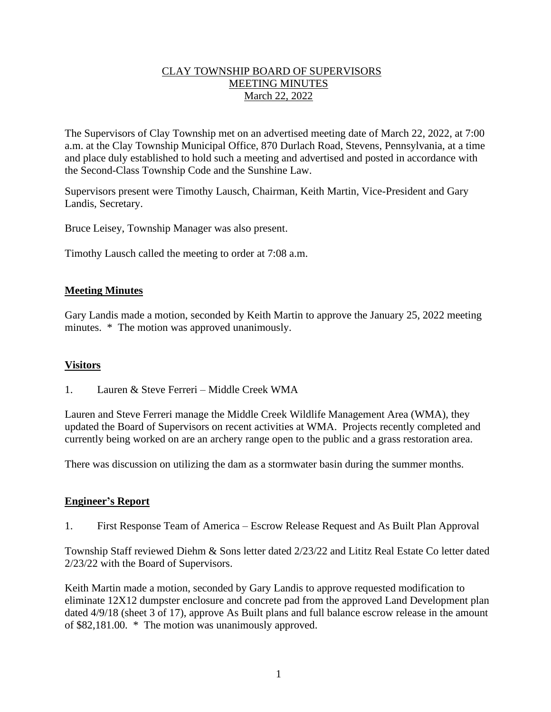# CLAY TOWNSHIP BOARD OF SUPERVISORS MEETING MINUTES March 22, 2022

The Supervisors of Clay Township met on an advertised meeting date of March 22, 2022, at 7:00 a.m. at the Clay Township Municipal Office, 870 Durlach Road, Stevens, Pennsylvania, at a time and place duly established to hold such a meeting and advertised and posted in accordance with the Second-Class Township Code and the Sunshine Law.

Supervisors present were Timothy Lausch, Chairman, Keith Martin, Vice-President and Gary Landis, Secretary.

Bruce Leisey, Township Manager was also present.

Timothy Lausch called the meeting to order at 7:08 a.m.

## **Meeting Minutes**

Gary Landis made a motion, seconded by Keith Martin to approve the January 25, 2022 meeting minutes. \* The motion was approved unanimously.

#### **Visitors**

1. Lauren & Steve Ferreri – Middle Creek WMA

Lauren and Steve Ferreri manage the Middle Creek Wildlife Management Area (WMA), they updated the Board of Supervisors on recent activities at WMA. Projects recently completed and currently being worked on are an archery range open to the public and a grass restoration area.

There was discussion on utilizing the dam as a stormwater basin during the summer months.

#### **Engineer's Report**

1. First Response Team of America – Escrow Release Request and As Built Plan Approval

Township Staff reviewed Diehm & Sons letter dated 2/23/22 and Lititz Real Estate Co letter dated 2/23/22 with the Board of Supervisors.

Keith Martin made a motion, seconded by Gary Landis to approve requested modification to eliminate 12X12 dumpster enclosure and concrete pad from the approved Land Development plan dated 4/9/18 (sheet 3 of 17), approve As Built plans and full balance escrow release in the amount of \$82,181.00. \* The motion was unanimously approved.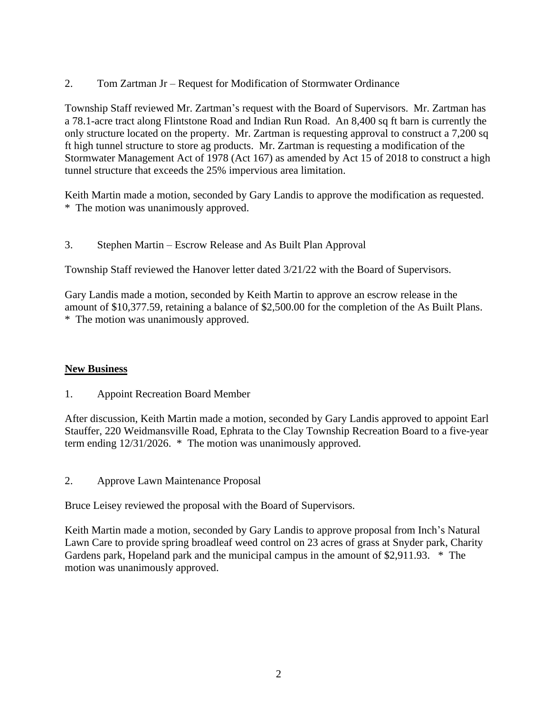2. Tom Zartman Jr – Request for Modification of Stormwater Ordinance

Township Staff reviewed Mr. Zartman's request with the Board of Supervisors. Mr. Zartman has a 78.1-acre tract along Flintstone Road and Indian Run Road. An 8,400 sq ft barn is currently the only structure located on the property. Mr. Zartman is requesting approval to construct a 7,200 sq ft high tunnel structure to store ag products. Mr. Zartman is requesting a modification of the Stormwater Management Act of 1978 (Act 167) as amended by Act 15 of 2018 to construct a high tunnel structure that exceeds the 25% impervious area limitation.

Keith Martin made a motion, seconded by Gary Landis to approve the modification as requested. \* The motion was unanimously approved.

3. Stephen Martin – Escrow Release and As Built Plan Approval

Township Staff reviewed the Hanover letter dated 3/21/22 with the Board of Supervisors.

Gary Landis made a motion, seconded by Keith Martin to approve an escrow release in the amount of \$10,377.59, retaining a balance of \$2,500.00 for the completion of the As Built Plans. \* The motion was unanimously approved.

# **New Business**

1. Appoint Recreation Board Member

After discussion, Keith Martin made a motion, seconded by Gary Landis approved to appoint Earl Stauffer, 220 Weidmansville Road, Ephrata to the Clay Township Recreation Board to a five-year term ending 12/31/2026. \* The motion was unanimously approved.

2. Approve Lawn Maintenance Proposal

Bruce Leisey reviewed the proposal with the Board of Supervisors.

Keith Martin made a motion, seconded by Gary Landis to approve proposal from Inch's Natural Lawn Care to provide spring broadleaf weed control on 23 acres of grass at Snyder park, Charity Gardens park, Hopeland park and the municipal campus in the amount of \$2,911.93. \* The motion was unanimously approved.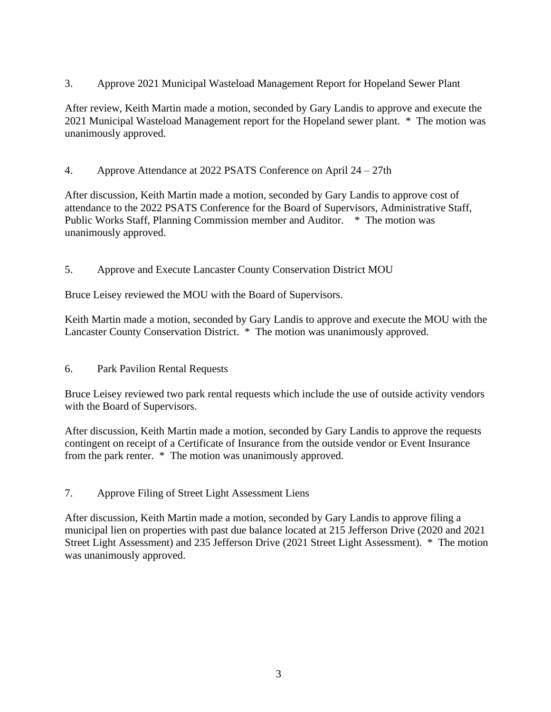3. Approve 2021 Municipal Wasteload Management Report for Hopeland Sewer Plant

After review, Keith Martin made a motion, seconded by Gary Landis to approve and execute the 2021 Municipal Wasteload Management report for the Hopeland sewer plant. \* The motion was unanimously approved.

4. Approve Attendance at 2022 PSATS Conference on April 24 – 27th

After discussion, Keith Martin made a motion, seconded by Gary Landis to approve cost of attendance to the 2022 PSATS Conference for the Board of Supervisors, Administrative Staff, Public Works Staff, Planning Commission member and Auditor. \* The motion was unanimously approved.

5. Approve and Execute Lancaster County Conservation District MOU

Bruce Leisey reviewed the MOU with the Board of Supervisors.

Keith Martin made a motion, seconded by Gary Landis to approve and execute the MOU with the Lancaster County Conservation District. \* The motion was unanimously approved.

6. Park Pavilion Rental Requests

Bruce Leisey reviewed two park rental requests which include the use of outside activity vendors with the Board of Supervisors.

After discussion, Keith Martin made a motion, seconded by Gary Landis to approve the requests contingent on receipt of a Certificate of Insurance from the outside vendor or Event Insurance from the park renter. \* The motion was unanimously approved.

7. Approve Filing of Street Light Assessment Liens

After discussion, Keith Martin made a motion, seconded by Gary Landis to approve filing a municipal lien on properties with past due balance located at 215 Jefferson Drive (2020 and 2021 Street Light Assessment) and 235 Jefferson Drive (2021 Street Light Assessment). \* The motion was unanimously approved.